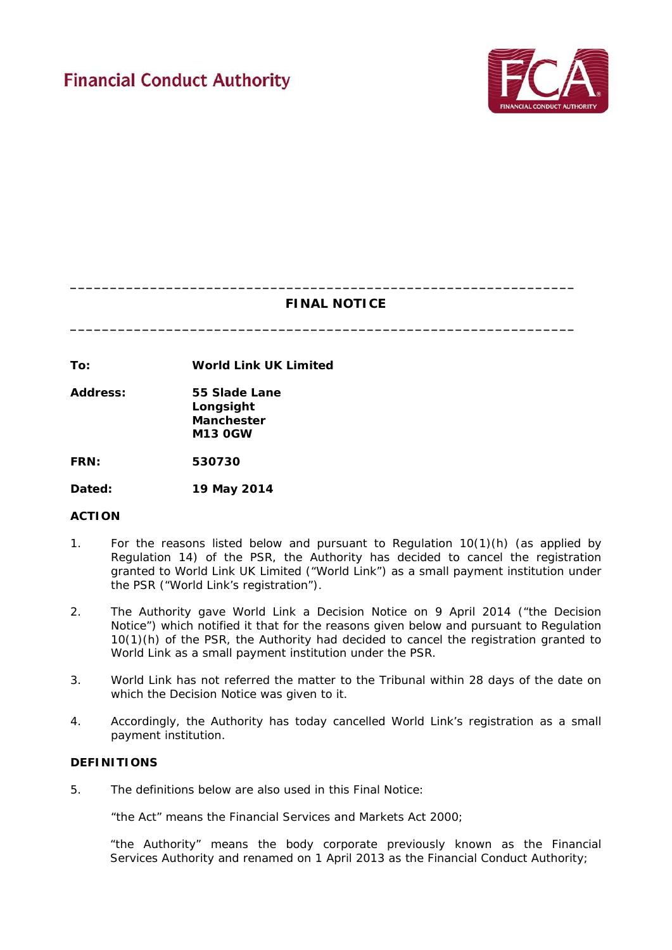

# **FINAL NOTICE**

**\_\_\_\_\_\_\_\_\_\_\_\_\_\_\_\_\_\_\_\_\_\_\_\_\_\_\_\_\_\_\_\_\_\_\_\_\_\_\_\_\_\_\_\_\_\_\_\_\_\_\_\_\_\_\_\_\_\_\_\_\_\_\_**

**\_\_\_\_\_\_\_\_\_\_\_\_\_\_\_\_\_\_\_\_\_\_\_\_\_\_\_\_\_\_\_\_\_\_\_\_\_\_\_\_\_\_\_\_\_\_\_\_\_\_\_\_\_\_\_\_\_\_\_\_\_\_\_**

**To: World Link UK Limited**

**Address: 55 Slade Lane Longsight Manchester M13 0GW**

**FRN: 530730**

**Dated: 19 May 2014**

## **ACTION**

- 1. For the reasons listed below and pursuant to Regulation 10(1)(h) (as applied by Regulation 14) of the PSR, the Authority has decided to cancel the registration granted to World Link UK Limited ("World Link") as a small payment institution under the PSR ("World Link's registration").
- 2. The Authority gave World Link a Decision Notice on 9 April 2014 ("the Decision Notice") which notified it that for the reasons given below and pursuant to Regulation 10(1)(h) of the PSR, the Authority had decided to cancel the registration granted to World Link as a small payment institution under the PSR.
- 3. World Link has not referred the matter to the Tribunal within 28 days of the date on which the Decision Notice was given to it.
- 4. Accordingly, the Authority has today cancelled World Link's registration as a small payment institution.

# **DEFINITIONS**

5. The definitions below are also used in this Final Notice:

"the Act" means the Financial Services and Markets Act 2000;

"the Authority" means the body corporate previously known as the Financial Services Authority and renamed on 1 April 2013 as the Financial Conduct Authority;